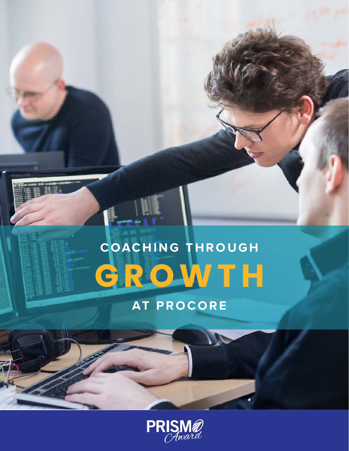# **COACHING THROUGH G R O W T H**

## **AT PROCORE**

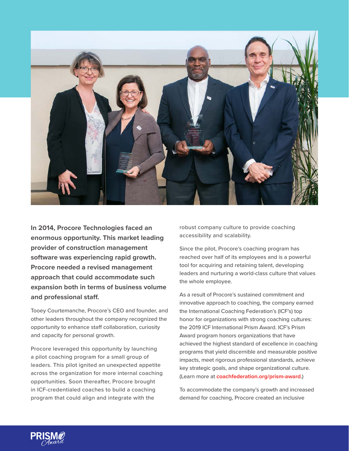

**In 2014, Procore Technologies faced an enormous opportunity. This market leading provider of construction management software was experiencing rapid growth. Procore needed a revised management approach that could accommodate such expansion both in terms of business volume and professional staff.** 

Tooey Courtemanche, Procore's CEO and founder, and other leaders throughout the company recognized the opportunity to enhance staff collaboration, curiosity and capacity for personal growth.

Procore leveraged this opportunity by launching a pilot coaching program for a small group of leaders. This pilot ignited an unexpected appetite across the organization for more internal coaching opportunities. Soon thereafter, Procore brought in ICF-credentialed coaches to build a coaching program that could align and integrate with the

robust company culture to provide coaching accessibility and scalability.

Since the pilot, Procore's coaching program has reached over half of its employees and is a powerful tool for acquiring and retaining talent, developing leaders and nurturing a world-class culture that values the whole employee.

As a result of Procore's sustained commitment and innovative approach to coaching, the company earned the International Coaching Federation's (ICF's) top honor for organizations with strong coaching cultures: the 2019 ICF International Prism Award. ICF's Prism Award program honors organizations that have achieved the highest standard of excellence in coaching programs that yield discernible and measurable positive impacts, meet rigorous professional standards, achieve key strategic goals, and shape organizational culture. (Learn more at **[coachfederation.org/prism-award](http://coachfederation.org/prism-award)**.)

To accommodate the company's growth and increased demand for coaching, Procore created an inclusive

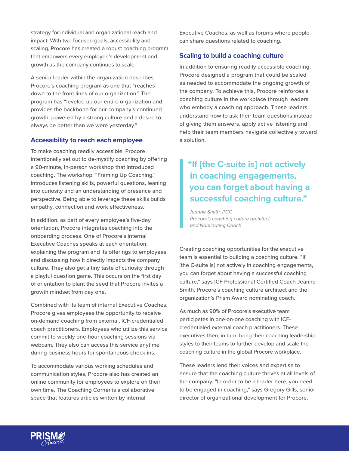strategy for individual and organizational reach and impact. With two focused goals, accessibility and scaling, Procore has created a robust coaching program that empowers every employee's development and growth as the company continues to scale.

A senior leader within the organization describes Procore's coaching program as one that "reaches down to the front lines of our organization." The program has "leveled up our entire organization and provides the backbone for our company's continued growth, powered by a strong culture and a desire to always be better than we were yesterday."

#### **Accessibility to reach each employee**

To make coaching readily accessible, Procore intentionally set out to de-mystify coaching by offering a 90-minute, in-person workshop that introduced coaching. The workshop, "Framing Up Coaching," introduces listening skills, powerful questions, leaning into curiosity and an understanding of presence and perspective. Being able to leverage these skills builds empathy, connection and work effectiveness.

In addition, as part of every employee's five-day orientation, Procore integrates coaching into the onboarding process. One of Procore's internal Executive Coaches speaks at each orientation, explaining the program and its offerings to employees and discussing how it directly impacts the company culture. They also get a tiny taste of curiosity through a playful question game. This occurs on the first day of orientation to plant the seed that Procore invites a growth mindset from day one.

Combined with its team of internal Executive Coaches, Procore gives employees the opportunity to receive on-demand coaching from external, ICF-credentialed coach practitioners. Employees who utilize this service commit to weekly one-hour coaching sessions via webcam. They also can access this service anytime during business hours for spontaneous check-ins.

To accommodate various working schedules and communication styles, Procore also has created an online community for employees to explore on their own time. The Coaching Corner is a collaborative space that features articles written by internal

Executive Coaches, as well as forums where people can share questions related to coaching.

#### **Scaling to build a coaching culture**

In addition to ensuring readily accessible coaching, Procore designed a program that could be scaled as needed to accommodate the ongoing growth of the company. To achieve this, Procore reinforces a coaching culture in the workplace through leaders who embody a coaching approach. These leaders understand how to ask their team questions instead of giving them answers, apply active listening and help their team members navigate collectively toward a solution.

### **"If [the C-suite is] not actively in coaching engagements, you can forget about having a successful coaching culture."**

*Jeanne Smith, PCC Procore's coaching culture architect and Nominating Coach*

Creating coaching opportunities for the executive team is essential to building a coaching culture. "If [the C-suite is] not actively in coaching engagements, you can forget about having a successful coaching culture," says ICF Professional Certified Coach Jeanne Smith, Procore's coaching culture architect and the organization's Prism Award nominating coach.

As much as 90% of Procore's executive team participates in one-on-one coaching with ICFcredentialed external coach practitioners. These executives then, in turn, bring their coaching leadership styles to their teams to further develop and scale the coaching culture in the global Procore workplace.

These leaders lend their voices and expertise to ensure that the coaching culture thrives at all levels of the company. "In order to be a leader here, you need to be engaged in coaching," says Gregory Gills, senior director of organizational development for Procore.